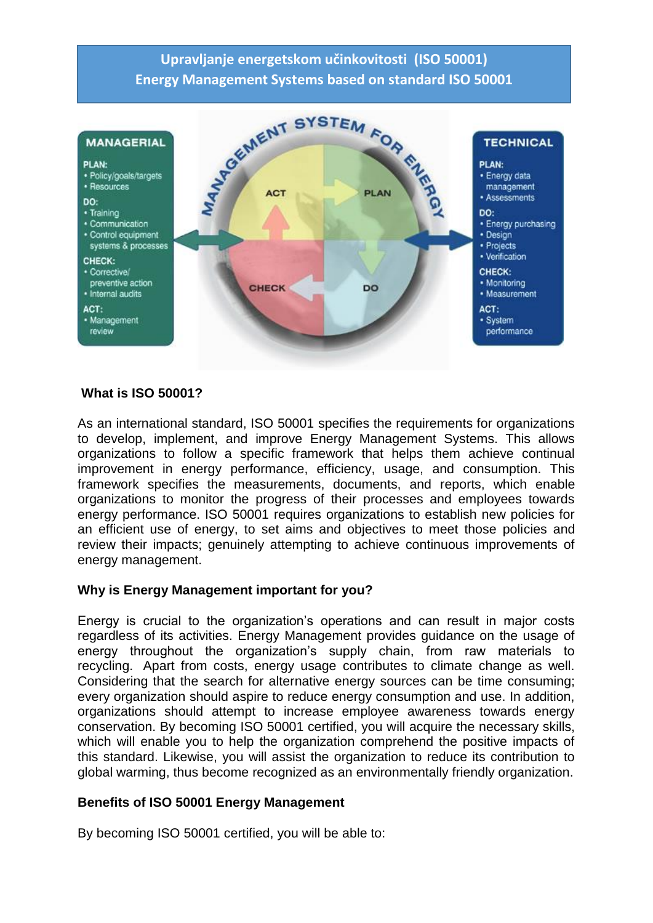# **Upravljanje energetskom učinkovitosti (ISO 50001) Energy Management Systems based on standard ISO 50001**



#### **What is ISO 50001?**

As an international standard, ISO 50001 specifies the requirements for organizations to develop, implement, and improve Energy Management Systems. This allows organizations to follow a specific framework that helps them achieve continual improvement in energy performance, efficiency, usage, and consumption. This framework specifies the measurements, documents, and reports, which enable organizations to monitor the progress of their processes and employees towards energy performance. ISO 50001 requires organizations to establish new policies for an efficient use of energy, to set aims and objectives to meet those policies and review their impacts; genuinely attempting to achieve continuous improvements of energy management.

#### **Why is Energy Management important for you?**

Energy is crucial to the organization's operations and can result in major costs regardless of its activities. Energy Management provides guidance on the usage of energy throughout the organization's supply chain, from raw materials to recycling. Apart from costs, energy usage contributes to climate change as well. Considering that the search for alternative energy sources can be time consuming; every organization should aspire to reduce energy consumption and use. In addition, organizations should attempt to increase employee awareness towards energy conservation. By becoming ISO 50001 certified, you will acquire the necessary skills, which will enable you to help the organization comprehend the positive impacts of this standard. Likewise, you will assist the organization to reduce its contribution to global warming, thus become recognized as an environmentally friendly organization.

## **Benefits of ISO 50001 Energy Management**

By becoming ISO 50001 certified, you will be able to: